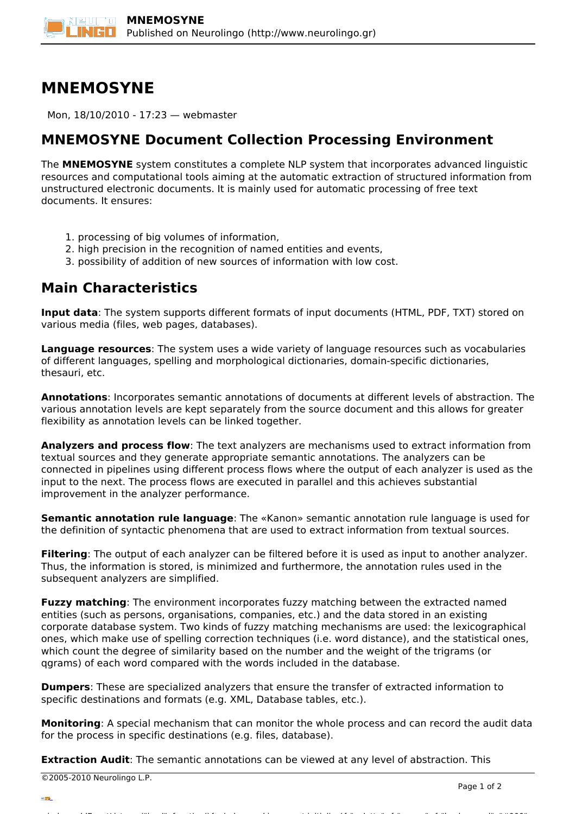## **MNEMOSYNE**

Mon, 18/10/2010 - 17:23 — webmaster

## **MNEMOSYNE Document Collection Processing Environment**

The **MNEMOSYNE** system constitutes a complete NLP system that incorporates advanced linguistic resources and computational tools aiming at the automatic extraction of structured information from unstructured electronic documents. It is mainly used for automatic processing of free text documents. It ensures:

- 1. processing of big volumes of information,
- 2. high precision in the recognition of named entities and events,
- 3. possibility of addition of new sources of information with low cost.

## **Main Characteristics**

**Input data**: The system supports different formats of input documents (HTML, PDF, TXT) stored on various media (files, web pages, databases).

**Language resources**: The system uses a wide variety of language resources such as vocabularies of different languages, spelling and morphological dictionaries, domain-specific dictionaries, thesauri, etc.

**Annotations**: Incorporates semantic annotations of documents at different levels of abstraction. The various annotation levels are kept separately from the source document and this allows for greater flexibility as annotation levels can be linked together.

**Analyzers and process flow**: The text analyzers are mechanisms used to extract information from textual sources and they generate appropriate semantic annotations. The analyzers can be connected in pipelines using different process flows where the output of each analyzer is used as the input to the next. The process flows are executed in parallel and this achieves substantial improvement in the analyzer performance.

**Semantic annotation rule language**: The «Kanon» semantic annotation rule language is used for the definition of syntactic phenomena that are used to extract information from textual sources.

**Filtering**: The output of each analyzer can be filtered before it is used as input to another analyzer. Thus, the information is stored, is minimized and furthermore, the annotation rules used in the subsequent analyzers are simplified.

**Fuzzy matching**: The environment incorporates fuzzy matching between the extracted named entities (such as persons, organisations, companies, etc.) and the data stored in an existing corporate database system. Τwo kinds of fuzzy matching mechanisms are used: the lexicographical ones, which make use of spelling correction techniques (i.e. word distance), and the statistical ones, which count the degree of similarity based on the number and the weight of the trigrams (or qgrams) of each word compared with the words included in the database.

**Dumpers**: These are specialized analyzers that ensure the transfer of extracted information to specific destinations and formats (e.g. XML, Database tables, etc.).

**Monitoring**: A special mechanism that can monitor the whole process and can record the audit data for the process in specific destinations (e.g. files, database).

window.addeventListener("load", function(); function();  $\alpha$  palette  $\alpha$  palette  $\alpha$  is a populated in the originalised in the originalised in the originalised in the originalised in the originalised in the originalised

**Extraction Audit**: The semantic annotations can be viewed at any level of abstraction. This

©2005-2010 Neurolingo L.P.

version of